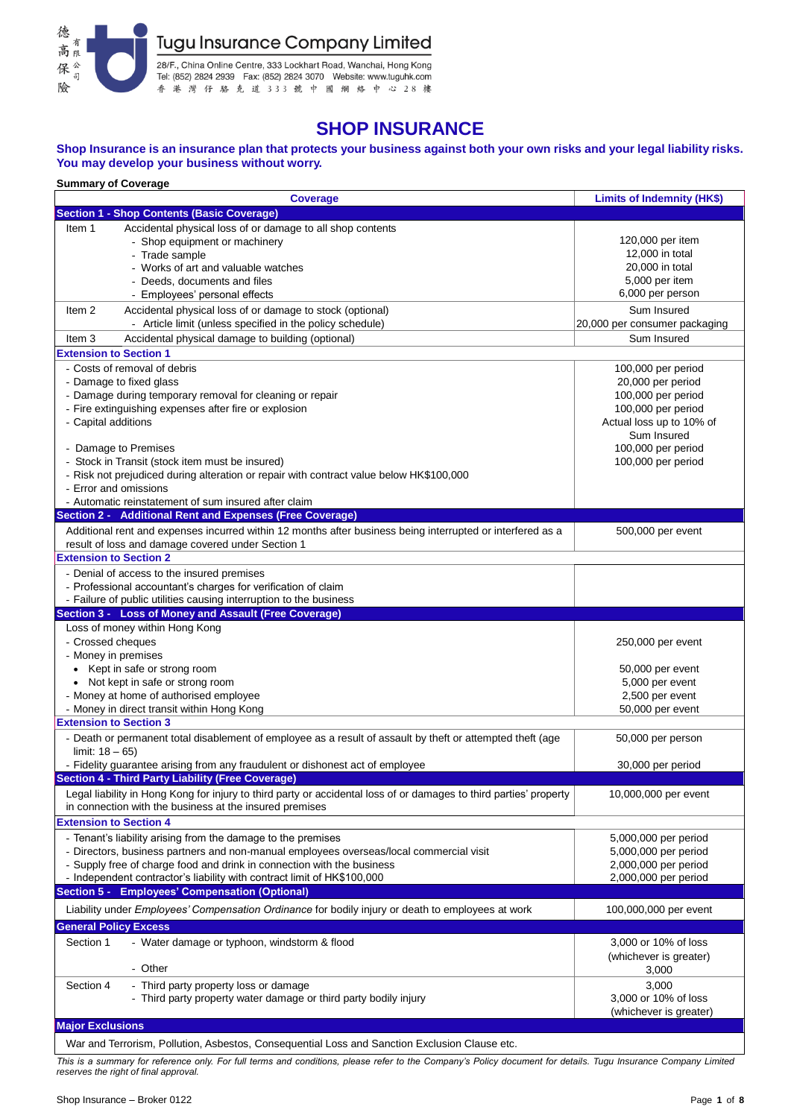

28/F., China Online Centre, 333 Lockhart Road, Wanchai, Hong Kong<br>Tel: (852) 2824 2939 Fax: (852) 2824 3070 Website: www.tuguhk.com<br>香港 灣 仔 駱 克 道 3 3 3 就 中 國 綱 絡 中 心 2 8 樓

# **SHOP INSURANCE**

## **Shop Insurance is an insurance plan that protects your business against both your own risks and your legal liability risks. You may develop your business without worry.**

| <b>Summary of Coverage</b>                                                                                               |                               |  |  |  |  |  |  |
|--------------------------------------------------------------------------------------------------------------------------|-------------------------------|--|--|--|--|--|--|
| <b>Coverage</b>                                                                                                          | Limits of Indemnity (HK\$)    |  |  |  |  |  |  |
| <b>Section 1 - Shop Contents (Basic Coverage)</b>                                                                        |                               |  |  |  |  |  |  |
| Accidental physical loss of or damage to all shop contents<br>Item 1                                                     |                               |  |  |  |  |  |  |
| - Shop equipment or machinery                                                                                            | 120,000 per item              |  |  |  |  |  |  |
| - Trade sample                                                                                                           | 12,000 in total               |  |  |  |  |  |  |
| - Works of art and valuable watches                                                                                      | 20,000 in total               |  |  |  |  |  |  |
| Deeds, documents and files                                                                                               | 5,000 per item                |  |  |  |  |  |  |
| - Employees' personal effects                                                                                            | 6,000 per person              |  |  |  |  |  |  |
| Accidental physical loss of or damage to stock (optional)<br>Item 2                                                      | Sum Insured                   |  |  |  |  |  |  |
| - Article limit (unless specified in the policy schedule)                                                                | 20,000 per consumer packaging |  |  |  |  |  |  |
| Accidental physical damage to building (optional)<br>Item 3                                                              | Sum Insured                   |  |  |  |  |  |  |
| <b>Extension to Section 1</b>                                                                                            |                               |  |  |  |  |  |  |
| - Costs of removal of debris                                                                                             |                               |  |  |  |  |  |  |
|                                                                                                                          | 100,000 per period            |  |  |  |  |  |  |
| - Damage to fixed glass                                                                                                  | 20,000 per period             |  |  |  |  |  |  |
| - Damage during temporary removal for cleaning or repair                                                                 | 100,000 per period            |  |  |  |  |  |  |
| - Fire extinguishing expenses after fire or explosion                                                                    | 100,000 per period            |  |  |  |  |  |  |
| - Capital additions                                                                                                      | Actual loss up to 10% of      |  |  |  |  |  |  |
|                                                                                                                          | Sum Insured                   |  |  |  |  |  |  |
| - Damage to Premises                                                                                                     | 100,000 per period            |  |  |  |  |  |  |
| - Stock in Transit (stock item must be insured)                                                                          | 100,000 per period            |  |  |  |  |  |  |
| - Risk not prejudiced during alteration or repair with contract value below HK\$100,000                                  |                               |  |  |  |  |  |  |
| - Error and omissions                                                                                                    |                               |  |  |  |  |  |  |
| - Automatic reinstatement of sum insured after claim                                                                     |                               |  |  |  |  |  |  |
| Section 2 - Additional Rent and Expenses (Free Coverage)                                                                 |                               |  |  |  |  |  |  |
| Additional rent and expenses incurred within 12 months after business being interrupted or interfered as a               | 500,000 per event             |  |  |  |  |  |  |
| result of loss and damage covered under Section 1                                                                        |                               |  |  |  |  |  |  |
| <b>Extension to Section 2</b>                                                                                            |                               |  |  |  |  |  |  |
| - Denial of access to the insured premises                                                                               |                               |  |  |  |  |  |  |
| - Professional accountant's charges for verification of claim                                                            |                               |  |  |  |  |  |  |
| - Failure of public utilities causing interruption to the business                                                       |                               |  |  |  |  |  |  |
| Section 3 - Loss of Money and Assault (Free Coverage)                                                                    |                               |  |  |  |  |  |  |
|                                                                                                                          |                               |  |  |  |  |  |  |
| Loss of money within Hong Kong                                                                                           |                               |  |  |  |  |  |  |
| - Crossed cheques                                                                                                        | 250,000 per event             |  |  |  |  |  |  |
|                                                                                                                          |                               |  |  |  |  |  |  |
| - Money in premises<br>• Kept in safe or strong room                                                                     | 50,000 per event              |  |  |  |  |  |  |
| • Not kept in safe or strong room                                                                                        | 5,000 per event               |  |  |  |  |  |  |
| - Money at home of authorised employee                                                                                   |                               |  |  |  |  |  |  |
|                                                                                                                          | 2,500 per event               |  |  |  |  |  |  |
| - Money in direct transit within Hong Kong<br><b>Extension to Section 3</b>                                              | 50,000 per event              |  |  |  |  |  |  |
|                                                                                                                          |                               |  |  |  |  |  |  |
| - Death or permanent total disablement of employee as a result of assault by theft or attempted theft (age               | 50,000 per person             |  |  |  |  |  |  |
| limit: $18 - 65$ )                                                                                                       |                               |  |  |  |  |  |  |
| - Fidelity guarantee arising from any fraudulent or dishonest act of employee                                            | 30,000 per period             |  |  |  |  |  |  |
| <b>Section 4 - Third Party Liability (Free Coverage)</b>                                                                 |                               |  |  |  |  |  |  |
| Legal liability in Hong Kong for injury to third party or accidental loss of or damages to third parties' property       | 10,000,000 per event          |  |  |  |  |  |  |
| in connection with the business at the insured premises                                                                  |                               |  |  |  |  |  |  |
| <b>Extension to Section 4</b>                                                                                            |                               |  |  |  |  |  |  |
| - Tenant's liability arising from the damage to the premises                                                             | 5,000,000 per period          |  |  |  |  |  |  |
| - Directors, business partners and non-manual employees overseas/local commercial visit                                  | 5,000,000 per period          |  |  |  |  |  |  |
| - Supply free of charge food and drink in connection with the business                                                   | 2,000,000 per period          |  |  |  |  |  |  |
| - Independent contractor's liability with contract limit of HK\$100,000                                                  | 2,000,000 per period          |  |  |  |  |  |  |
| Section 5 - Employees' Compensation (Optional)                                                                           |                               |  |  |  |  |  |  |
| Liability under Employees' Compensation Ordinance for bodily injury or death to employees at work                        | 100,000,000 per event         |  |  |  |  |  |  |
|                                                                                                                          |                               |  |  |  |  |  |  |
| <b>General Policy Excess</b>                                                                                             |                               |  |  |  |  |  |  |
| - Water damage or typhoon, windstorm & flood<br>Section 1                                                                | 3,000 or 10% of loss          |  |  |  |  |  |  |
|                                                                                                                          | (whichever is greater)        |  |  |  |  |  |  |
| - Other                                                                                                                  | 3,000                         |  |  |  |  |  |  |
| Section 4<br>- Third party property loss or damage                                                                       | 3,000                         |  |  |  |  |  |  |
| - Third party property water damage or third party bodily injury                                                         | 3,000 or 10% of loss          |  |  |  |  |  |  |
|                                                                                                                          | (whichever is greater)        |  |  |  |  |  |  |
| <b>Major Exclusions</b><br>War and Terrorism, Pollution, Asbestos, Consequential Loss and Sanction Exclusion Clause etc. |                               |  |  |  |  |  |  |

*This is a summary for reference only. For full terms and conditions, please refer to the Company's Policy document for details. Tugu Insurance Company Limited reserves the right of final approval.*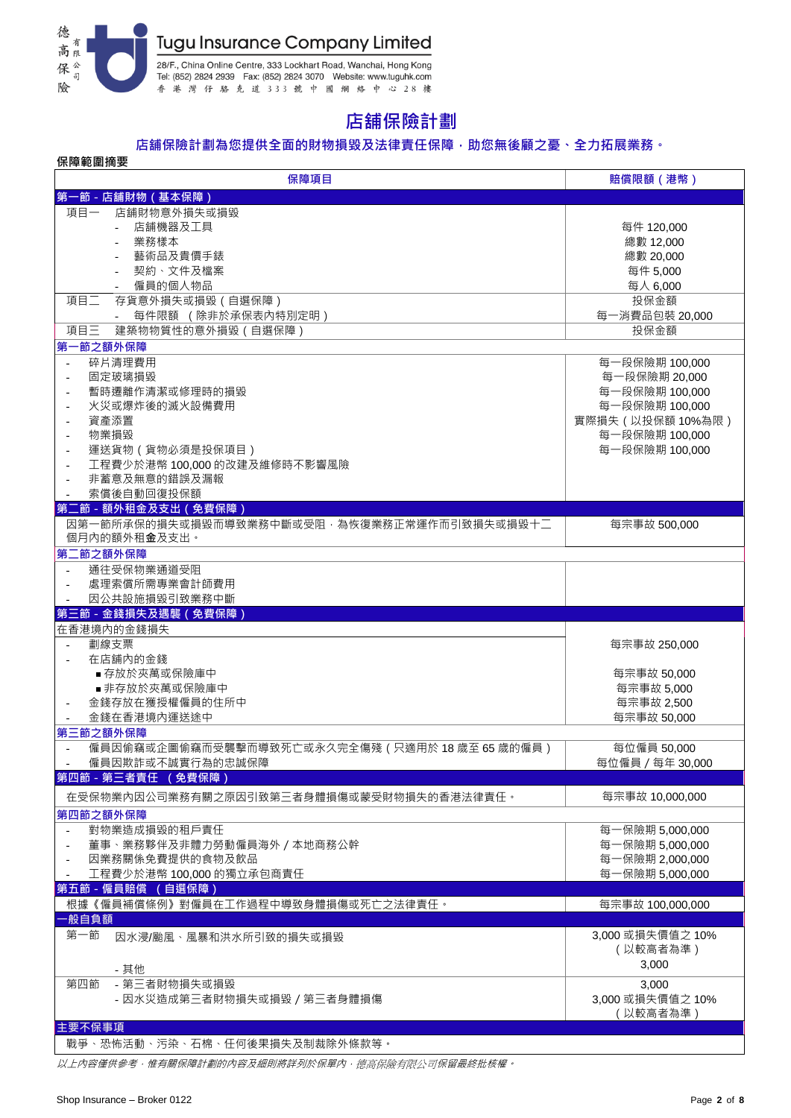

# **店舖保險計劃**

## **店舖保險計劃為您提供全面的財物損毀及法律責任保障,助您無後顧之憂、全力拓展業務。**

| 保障範圍摘要                                           |                  |
|--------------------------------------------------|------------------|
| 保障項目                                             | 賠償限額 (港幣)        |
| 第一節 - 店舖財物 (基本保障)                                |                  |
| 店舖財物意外損失或損毀<br>項目一                               |                  |
| 店舖機器及工具                                          | 每件 120,000       |
| 業務樣本                                             | 總數 12,000        |
| 藝術品及貴價手錶                                         | 總數 20,000        |
| 契約、文件及檔案                                         | 每件 5,000         |
| 僱員的個人物品                                          |                  |
|                                                  | 每人 6,000         |
| 項目二<br>存貨意外損失或損毀 (自選保障)                          | 投保金額             |
| 每件限額 (除非於承保表內特別定明)                               | 每一消費品包裝 20,000   |
| 項目三<br>建築物物質性的意外損毀 (自選保障)                        | 投保金額             |
| 第一節之額外保障                                         |                  |
| 碎片清理費用<br>$\sim$                                 | 每一段保險期 100,000   |
| 固定玻璃損毀                                           | 每一段保險期 20,000    |
| 暫時遷離作清潔或修理時的損毀                                   | 每一段保險期 100,000   |
| 火災或爆炸後的滅火設備費用                                    | 每一段保險期 100,000   |
| 資產添置<br>$\overline{\phantom{a}}$                 | 實際損失(以投保額10%為限)  |
| 物業損毀                                             | 每一段保險期 100,000   |
| 運送貨物 (貨物必須是投保項目)                                 | 每一段保險期 100,000   |
| 工程費少於港幣 100,000 的改建及維修時不影響風險                     |                  |
| 非蓄意及無意的錯誤及漏報                                     |                  |
| 索償後自動回復投保額<br>$\overline{\phantom{a}}$           |                  |
| 第二節 - 額外租金及支出 (免費保障)                             |                  |
| 因第一節所承保的損失或損毀而導致業務中斷或受阻,為恢復業務正常運作而引致損失或損毀十二      | 每宗事故 500,000     |
| 個月內的額外租 <b>金</b> 及支出。                            |                  |
| 第二節之額外保障                                         |                  |
| 通往受保物業通道受阻                                       |                  |
| 處理索償所需專業會計師費用                                    |                  |
| 因公共設施損毀引致業務中斷                                    |                  |
| 第三節 - 金錢損失及遇襲 (免費保障)                             |                  |
| 在香港境内的金錢損失                                       |                  |
|                                                  |                  |
|                                                  |                  |
| 劃線支票                                             | 每宗事故 250,000     |
| 在店舖内的金錢                                          |                  |
| ■ 存放於夾萬或保險庫中                                     | 每宗事故 50,000      |
| ■ 非存放於夾萬或保險庫中                                    | 每宗事故 5,000       |
| 金錢存放在獲授權僱員的住所中                                   | 每宗事故 2,500       |
| 金錢在香港境內運送途中                                      | 每宗事故 50,000      |
| 第三節之額外保障                                         |                  |
| 僱員因偷竊或企圖偷竊而受襲擊而導致死亡或永久完全傷殘 (只適用於 18 歲至 65 歲的僱員 ) | 每位僱員 50,000      |
| 僱員因欺詐或不誠實行為的忠誠保障                                 | 每位僱員 / 每年 30,000 |
| 第四節 - 第三者責任 (免費保障)                               |                  |
|                                                  |                  |
| 在受保物業內因公司業務有關之原因引致第三者身體損傷或蒙受財物損失的香港法律責任。         | 每宗事故 10,000,000  |
| 第四節之額外保障                                         |                  |
| 對物業造成損毀的租戶責任<br>$\sim$                           | 每一保險期 5,000,000  |
| 董事、業務夥伴及非體力勞動僱員海外 / 本地商務公幹                       | 每一保險期 5,000,000  |
| 因業務關係免費提供的食物及飲品                                  | 每一保險期 2,000,000  |
| 工程費少於港幣 100,000 的獨立承包商責任                         | 每一保險期 5,000,000  |
| 第五節 - 僱員賠償 (自選保障)                                |                  |
| 根據《僱員補償條例》對僱員在工作過程中導致身體損傷或死亡之法律責任。               | 每宗事故 100,000,000 |
| ·般自負額                                            |                  |
| 第一節<br>因水浸/颱風、風暴和洪水所引致的損失或損毀                     | 3,000 或損失價值之 10% |
|                                                  | (以較高者為準)         |
|                                                  | 3,000            |
| - 其他                                             |                  |
| - 第三者財物損失或損毀<br>第四節                              | 3,000            |
| - 因水災造成第三者財物損失或損毀 / 第三者身體損傷                      | 3,000 或損失價值之 10% |
|                                                  | (以較高者為準)         |
| 主要不保事項<br>戰爭、恐怖活動、污染、石棉、任何後果損失及制裁除外條款等。          |                  |

以上內容僅供參考,惟有關保障計劃的內容及細則將詳列於保單內,德高保險有限公司保留最終批核權。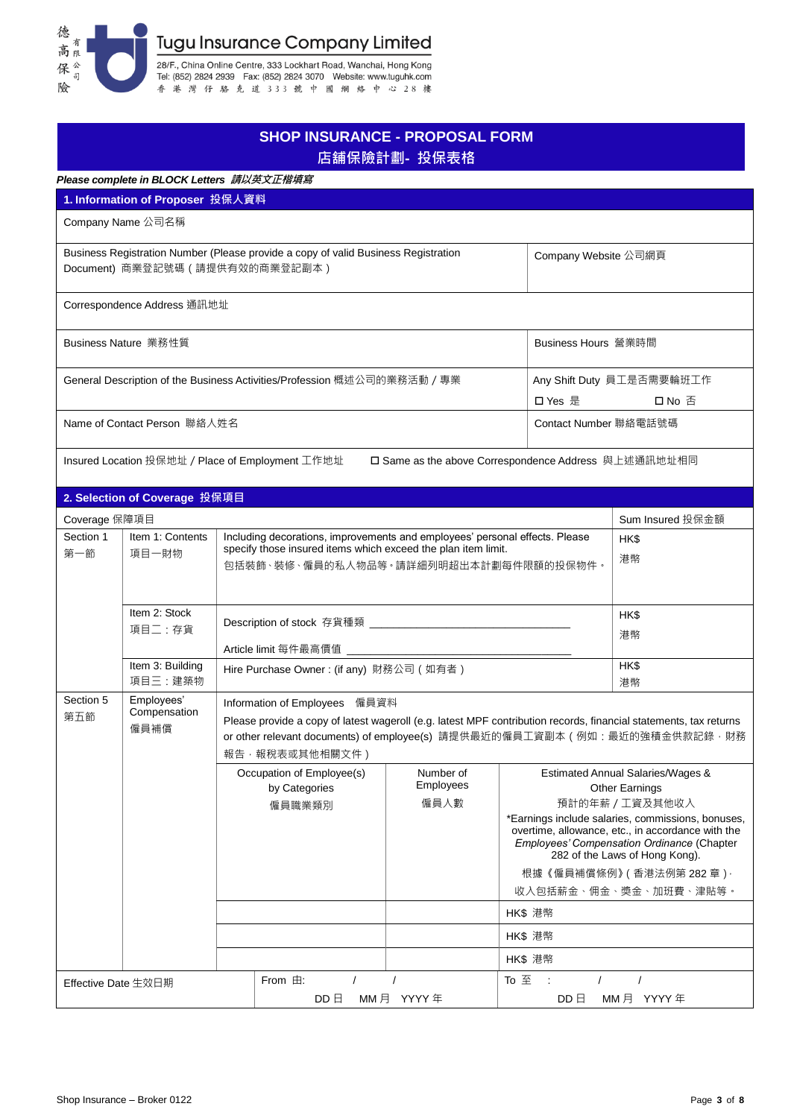

|                                                                          |                                                                                                                          |  | <b>SHOP INSURANCE - PROPOSAL FORM</b>                                                                                                                                                 | 店舖保險計劃 - 投保表格                                  |                                                      |                                                                                                                                                                                                                                                                                                                               |  |  |
|--------------------------------------------------------------------------|--------------------------------------------------------------------------------------------------------------------------|--|---------------------------------------------------------------------------------------------------------------------------------------------------------------------------------------|------------------------------------------------|------------------------------------------------------|-------------------------------------------------------------------------------------------------------------------------------------------------------------------------------------------------------------------------------------------------------------------------------------------------------------------------------|--|--|
|                                                                          | Please complete in BLOCK Letters 請以英文正楷填寫                                                                                |  |                                                                                                                                                                                       |                                                |                                                      |                                                                                                                                                                                                                                                                                                                               |  |  |
|                                                                          | 1. Information of Proposer 投保人資料                                                                                         |  |                                                                                                                                                                                       |                                                |                                                      |                                                                                                                                                                                                                                                                                                                               |  |  |
|                                                                          | Company Name 公司名稱                                                                                                        |  |                                                                                                                                                                                       |                                                |                                                      |                                                                                                                                                                                                                                                                                                                               |  |  |
|                                                                          | Document) 商業登記號碼 (請提供有效的商業登記副本)                                                                                          |  | Business Registration Number (Please provide a copy of valid Business Registration                                                                                                    |                                                | Company Website 公司網頁                                 |                                                                                                                                                                                                                                                                                                                               |  |  |
|                                                                          | Correspondence Address 通訊地址                                                                                              |  |                                                                                                                                                                                       |                                                |                                                      |                                                                                                                                                                                                                                                                                                                               |  |  |
| Business Nature 業務性質                                                     |                                                                                                                          |  | Business Hours 營業時間                                                                                                                                                                   |                                                |                                                      |                                                                                                                                                                                                                                                                                                                               |  |  |
| General Description of the Business Activities/Profession 概述公司的業務活動 / 專業 |                                                                                                                          |  |                                                                                                                                                                                       | Any Shift Duty 員工是否需要輪班工作<br>□ Yes 是<br>口 No 否 |                                                      |                                                                                                                                                                                                                                                                                                                               |  |  |
|                                                                          | Name of Contact Person 聯絡人姓名                                                                                             |  |                                                                                                                                                                                       | Contact Number 聯絡電話號碼                          |                                                      |                                                                                                                                                                                                                                                                                                                               |  |  |
|                                                                          | Insured Location 投保地址 / Place of Employment 工作地址                                                                         |  |                                                                                                                                                                                       |                                                | □ Same as the above Correspondence Address 與上述通訊地址相同 |                                                                                                                                                                                                                                                                                                                               |  |  |
|                                                                          | 2. Selection of Coverage 投保項目                                                                                            |  |                                                                                                                                                                                       |                                                |                                                      |                                                                                                                                                                                                                                                                                                                               |  |  |
|                                                                          |                                                                                                                          |  |                                                                                                                                                                                       |                                                |                                                      | Sum Insured 投保金額                                                                                                                                                                                                                                                                                                              |  |  |
| Coverage 保障項目<br>Section 1<br>Item 1: Contents<br>第一節<br>項目一財物           |                                                                                                                          |  | Including decorations, improvements and employees' personal effects. Please<br>specify those insured items which exceed the plan item limit.<br>包括裝飾、裝修、僱員的私人物品等。請詳細列明超出本計劃每件限額的投保物件。 |                                                | HK\$<br>港幣                                           |                                                                                                                                                                                                                                                                                                                               |  |  |
|                                                                          | Item 2: Stock<br>項目二:存貨                                                                                                  |  |                                                                                                                                                                                       |                                                | HK\$<br>港幣                                           |                                                                                                                                                                                                                                                                                                                               |  |  |
|                                                                          | Article limit 每件最高價值 ________________________<br>Item 3: Building<br>Hire Purchase Owner: (if any) 財務公司 (如有者)<br>項目三:建築物 |  |                                                                                                                                                                                       |                                                | HK\$<br>港幣                                           |                                                                                                                                                                                                                                                                                                                               |  |  |
| Section 5<br>第五節                                                         | Employees'<br>Compensation<br>僱員補償                                                                                       |  | Information of Employees 僱員資料<br>報告 · 報稅表或其他相關文件)                                                                                                                                     |                                                |                                                      | Please provide a copy of latest wageroll (e.g. latest MPF contribution records, financial statements, tax returns<br>or other relevant documents) of employee(s) 請提供最近的僱員工資副本 ( 例如: 最近的強積金供款記錄 · 財務                                                                                                                           |  |  |
|                                                                          |                                                                                                                          |  | Occupation of Employee(s)<br>by Categories<br>僱員職業類別                                                                                                                                  | Number of<br>Employees<br>僱員人數                 | HK\$ 港幣                                              | Estimated Annual Salaries/Wages &<br><b>Other Earnings</b><br>預計的年薪 / 工資及其他收入<br>*Earnings include salaries, commissions, bonuses,<br>overtime, allowance, etc., in accordance with the<br>Employees' Compensation Ordinance (Chapter<br>282 of the Laws of Hong Kong).<br>根據《僱員補償條例》(香港法例第 282 章) ·<br>收入包括薪金、佣金、獎金、加班費、津貼等。 |  |  |
|                                                                          |                                                                                                                          |  |                                                                                                                                                                                       |                                                | HK\$ 港幣                                              |                                                                                                                                                                                                                                                                                                                               |  |  |
|                                                                          |                                                                                                                          |  |                                                                                                                                                                                       |                                                | HK\$ 港幣                                              |                                                                                                                                                                                                                                                                                                                               |  |  |
| Effective Date 生效日期                                                      |                                                                                                                          |  | From $\pm$ :<br>$\prime$<br>$DD \Box$                                                                                                                                                 | $\prime$<br>$MMF$ YYYY 年                       | To 至<br>÷<br>$\prime$<br>DD E                        | $\prime$<br>MM 月 YYYY 年                                                                                                                                                                                                                                                                                                       |  |  |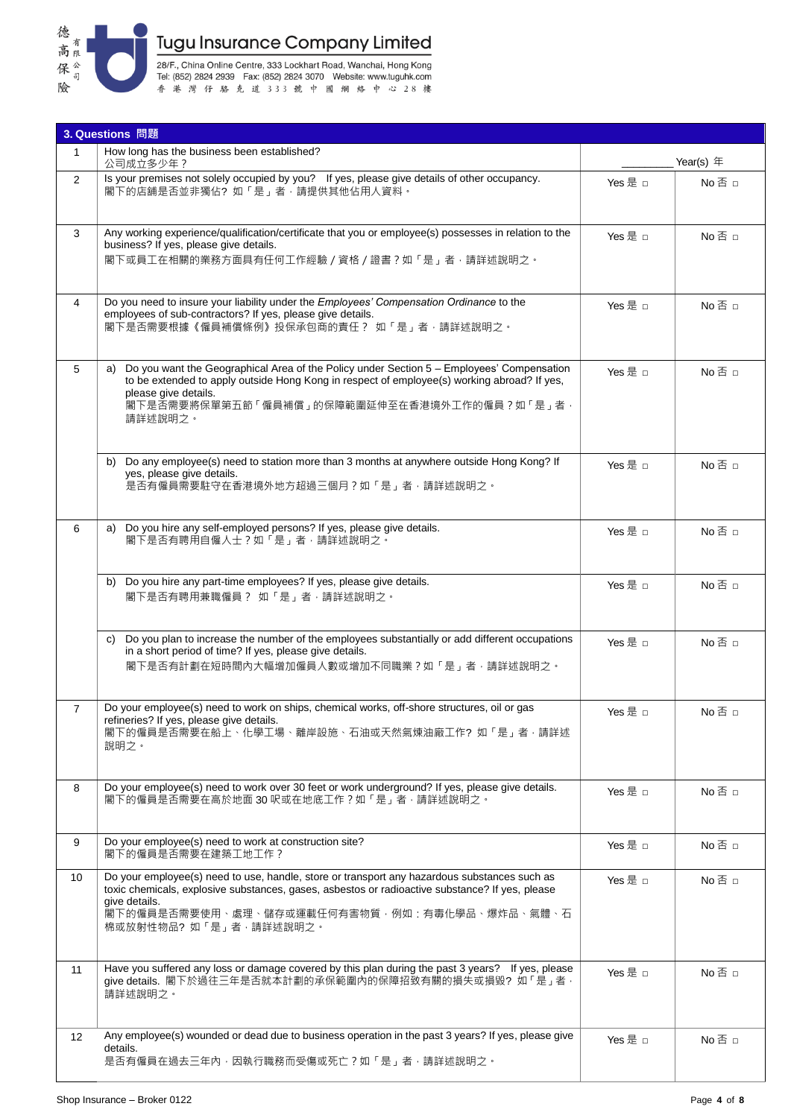

28/F., China Online Centre, 333 Lockhart Road, Wanchai, Hong Kong<br>Tel: (852) 2824 2939 Fax: (852) 2824 3070 Website: www.tuguhk.com<br>香港 灣 仔 駱 克 道 3 3 3 就 中 國 綱 絡 中 心 2 8 樓

|                 | 3. Questions 問題                                                                                                                                                                                                                                                                           |             |               |  |  |  |  |
|-----------------|-------------------------------------------------------------------------------------------------------------------------------------------------------------------------------------------------------------------------------------------------------------------------------------------|-------------|---------------|--|--|--|--|
| $\mathbf{1}$    | How long has the business been established?<br>公司成立多少年?                                                                                                                                                                                                                                   | Year(s) $#$ |               |  |  |  |  |
| $\overline{2}$  | Is your premises not solely occupied by you? If yes, please give details of other occupancy.<br>閣下的店舖是否並非獨佔?如「是」者,請提供其他佔用人資料。                                                                                                                                                             | Yes 是 □     | $No \n  \Box$ |  |  |  |  |
| 3               | Any working experience/qualification/certificate that you or employee(s) possesses in relation to the<br>business? If yes, please give details.<br>閣下或員工在相關的業務方面具有任何工作經驗 / 資格 / 證書 ? 如「是」者·請詳述說明之。                                                                                        | Yes 是 □     | $No \n  \Box$ |  |  |  |  |
| 4               | Do you need to insure your liability under the Employees' Compensation Ordinance to the<br>employees of sub-contractors? If yes, please give details.<br>閣下是否需要根據《僱員補償條例》投保承包商的責任 ? 如「是」者,請詳述說明之。                                                                                         | Yes 是 □     | No否 □         |  |  |  |  |
| 5               | Do you want the Geographical Area of the Policy under Section 5 - Employees' Compensation<br>a)<br>to be extended to apply outside Hong Kong in respect of employee(s) working abroad? If yes,<br>please give details.<br>閣下是否需要將保單第五節「僱員補償」的保障範圍延伸至在香港境外工作的僱員?如「是」者,<br>請詳述說明之。          | Yes 是 □     | No否 □         |  |  |  |  |
|                 | b) Do any employee(s) need to station more than 3 months at anywhere outside Hong Kong? If<br>yes, please give details.<br>是否有僱員需要駐守在香港境外地方超過三個月?如「是」者,請詳述說明之。                                                                                                                            | Yes 是 □     | No否 □         |  |  |  |  |
| 6               | Do you hire any self-employed persons? If yes, please give details.<br>a)<br>閣下是否有聘用自僱人士?如「是」者,請詳述說明之。                                                                                                                                                                                    | Yes 是 □     | $No \n  \Box$ |  |  |  |  |
|                 | b) Do you hire any part-time employees? If yes, please give details.<br>閣下是否有聘用兼職僱員? 如「是」者,請詳述說明之。                                                                                                                                                                                        | Yes 是 □     | No否 □         |  |  |  |  |
|                 | Do you plan to increase the number of the employees substantially or add different occupations<br>C)<br>in a short period of time? If yes, please give details.<br>閣下是否有計劃在短時間內大幅增加僱員人數或增加不同職業?如「是」者·請詳述說明之·                                                                              | Yes 是 □     | $No \n  \Box$ |  |  |  |  |
| 7               | Do your employee(s) need to work on ships, chemical works, off-shore structures, oil or gas<br>refineries? If yes, please give details.<br>閣下的僱員是否需要在船上、化學工場、離岸設施、石油或天然氣煉油廠工作?如「是」者,請詳述<br>説明之。                                                                                           | Yes 是 □     | No 否 □        |  |  |  |  |
| 8               | Do your employee(s) need to work over 30 feet or work underground? If yes, please give details.<br>閣下的僱員是否需要在高於地面 30 呎或在地底工作?如「是」者, 請詳述說明之。                                                                                                                                               | Yes 是 □     | No否 □         |  |  |  |  |
| 9               | Do your employee(s) need to work at construction site?<br>閣下的僱員是否需要在建築工地工作?                                                                                                                                                                                                               | Yes 是 □     | $No \n  \Box$ |  |  |  |  |
| 10 <sup>°</sup> | Do your employee(s) need to use, handle, store or transport any hazardous substances such as<br>toxic chemicals, explosive substances, gases, asbestos or radioactive substance? If yes, please<br>give details.<br>閣下的僱員是否需要使用、處理、儲存或運載任何有害物質‧例如:有毒化學品、爆炸品、氣體、石<br>棉或放射性物品?如「是」者,請詳述說明之。 | Yes 是 □     | $No \n  \Box$ |  |  |  |  |
| 11              | Have you suffered any loss or damage covered by this plan during the past 3 years? If yes, please<br>give details. 閣下於過往三年是否就本計劃的承保範圍內的保障招致有關的損失或損毀? 如「是」者 ·<br>請詳述說明之。                                                                                                                   | Yes 是 □     | $No \n  \Box$ |  |  |  |  |
| 12 <sup>°</sup> | Any employee(s) wounded or dead due to business operation in the past 3 years? If yes, please give<br>details.<br>是否有僱員在過去三年內﹐因執行職務而受傷或死亡?如「是」者﹐請詳述說明之‧                                                                                                                                   | Yes 是 □     | $No \n  \Box$ |  |  |  |  |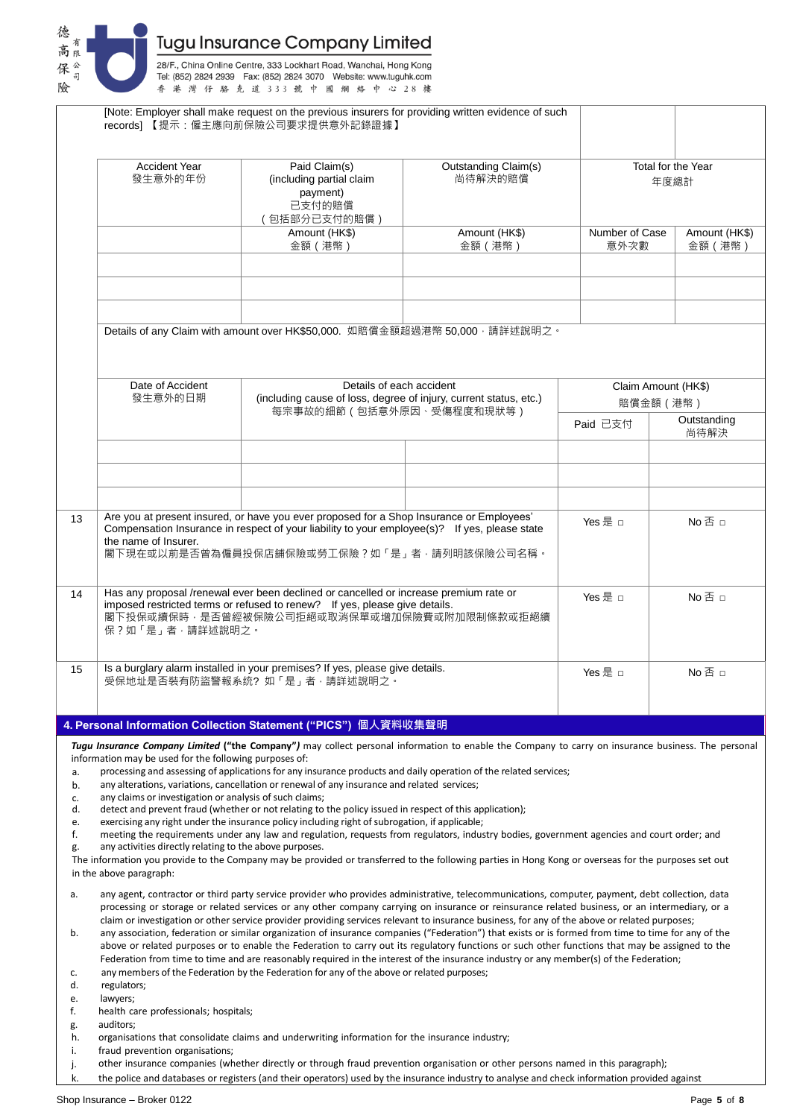

|                                        |                                                                                                                                                                                                                                                                                                                                                                                                                                                                                                                                                                                                                                                                                                                                                                                                                                                                                                                                                                                                     | [Note: Employer shall make request on the previous insurers for providing written evidence of such<br>records] 【提示:僱主應向前保險公司要求提供意外記錄證據】                                                                                                                                                                                                                                                                                                                                                                                                                                                                                                                                                                                            |                                                                                                |          |                                 |  |  |
|----------------------------------------|-----------------------------------------------------------------------------------------------------------------------------------------------------------------------------------------------------------------------------------------------------------------------------------------------------------------------------------------------------------------------------------------------------------------------------------------------------------------------------------------------------------------------------------------------------------------------------------------------------------------------------------------------------------------------------------------------------------------------------------------------------------------------------------------------------------------------------------------------------------------------------------------------------------------------------------------------------------------------------------------------------|------------------------------------------------------------------------------------------------------------------------------------------------------------------------------------------------------------------------------------------------------------------------------------------------------------------------------------------------------------------------------------------------------------------------------------------------------------------------------------------------------------------------------------------------------------------------------------------------------------------------------------------------------------------------------------------------------------------------------------|------------------------------------------------------------------------------------------------|----------|---------------------------------|--|--|
|                                        | <b>Accident Year</b><br>發生意外的年份                                                                                                                                                                                                                                                                                                                                                                                                                                                                                                                                                                                                                                                                                                                                                                                                                                                                                                                                                                     | Paid Claim(s)<br>(including partial claim<br>payment)<br>已支付的賠償<br>(包括部分已支付的賠償)                                                                                                                                                                                                                                                                                                                                                                                                                                                                                                                                                                                                                                                    | Outstanding Claim(s)<br>尚待解決的賠償                                                                |          | Total for the Year<br>年度總計      |  |  |
|                                        |                                                                                                                                                                                                                                                                                                                                                                                                                                                                                                                                                                                                                                                                                                                                                                                                                                                                                                                                                                                                     | Amount (HK\$)                                                                                                                                                                                                                                                                                                                                                                                                                                                                                                                                                                                                                                                                                                                      | Amount (HK\$)                                                                                  |          | Number of Case<br>Amount (HK\$) |  |  |
|                                        |                                                                                                                                                                                                                                                                                                                                                                                                                                                                                                                                                                                                                                                                                                                                                                                                                                                                                                                                                                                                     | 金額 (港幣)                                                                                                                                                                                                                                                                                                                                                                                                                                                                                                                                                                                                                                                                                                                            | 金額 (港幣)                                                                                        | 意外次數     | 金額 (港幣)                         |  |  |
|                                        |                                                                                                                                                                                                                                                                                                                                                                                                                                                                                                                                                                                                                                                                                                                                                                                                                                                                                                                                                                                                     |                                                                                                                                                                                                                                                                                                                                                                                                                                                                                                                                                                                                                                                                                                                                    |                                                                                                |          |                                 |  |  |
|                                        |                                                                                                                                                                                                                                                                                                                                                                                                                                                                                                                                                                                                                                                                                                                                                                                                                                                                                                                                                                                                     |                                                                                                                                                                                                                                                                                                                                                                                                                                                                                                                                                                                                                                                                                                                                    |                                                                                                |          |                                 |  |  |
|                                        |                                                                                                                                                                                                                                                                                                                                                                                                                                                                                                                                                                                                                                                                                                                                                                                                                                                                                                                                                                                                     | Details of any Claim with amount over HK\$50,000. 如賠償金額超過港幣 50,000 · 請詳述說明之。                                                                                                                                                                                                                                                                                                                                                                                                                                                                                                                                                                                                                                                       |                                                                                                |          |                                 |  |  |
|                                        | Date of Accident                                                                                                                                                                                                                                                                                                                                                                                                                                                                                                                                                                                                                                                                                                                                                                                                                                                                                                                                                                                    | Details of each accident                                                                                                                                                                                                                                                                                                                                                                                                                                                                                                                                                                                                                                                                                                           |                                                                                                |          | Claim Amount (HK\$)             |  |  |
|                                        | 發生意外的日期                                                                                                                                                                                                                                                                                                                                                                                                                                                                                                                                                                                                                                                                                                                                                                                                                                                                                                                                                                                             |                                                                                                                                                                                                                                                                                                                                                                                                                                                                                                                                                                                                                                                                                                                                    | (including cause of loss, degree of injury, current status, etc.)<br>每宗事故的細節 (包括意外原因、受傷程度和現狀等) |          | 賠償金額 (港幣)                       |  |  |
|                                        |                                                                                                                                                                                                                                                                                                                                                                                                                                                                                                                                                                                                                                                                                                                                                                                                                                                                                                                                                                                                     |                                                                                                                                                                                                                                                                                                                                                                                                                                                                                                                                                                                                                                                                                                                                    |                                                                                                | Paid 已支付 | Outstanding<br>尚待解決             |  |  |
|                                        |                                                                                                                                                                                                                                                                                                                                                                                                                                                                                                                                                                                                                                                                                                                                                                                                                                                                                                                                                                                                     |                                                                                                                                                                                                                                                                                                                                                                                                                                                                                                                                                                                                                                                                                                                                    |                                                                                                |          |                                 |  |  |
|                                        |                                                                                                                                                                                                                                                                                                                                                                                                                                                                                                                                                                                                                                                                                                                                                                                                                                                                                                                                                                                                     |                                                                                                                                                                                                                                                                                                                                                                                                                                                                                                                                                                                                                                                                                                                                    |                                                                                                |          |                                 |  |  |
|                                        |                                                                                                                                                                                                                                                                                                                                                                                                                                                                                                                                                                                                                                                                                                                                                                                                                                                                                                                                                                                                     |                                                                                                                                                                                                                                                                                                                                                                                                                                                                                                                                                                                                                                                                                                                                    |                                                                                                |          |                                 |  |  |
| 13                                     | the name of Insurer.                                                                                                                                                                                                                                                                                                                                                                                                                                                                                                                                                                                                                                                                                                                                                                                                                                                                                                                                                                                | Are you at present insured, or have you ever proposed for a Shop Insurance or Employees'<br>Compensation Insurance in respect of your liability to your employee(s)? If yes, please state<br>閣下現在或以前是否曾為僱員投保店舖保險或勞工保險?如「是」者·請列明該保險公司名稱。                                                                                                                                                                                                                                                                                                                                                                                                                                                                                            |                                                                                                | Yes 是 □  | No否口                            |  |  |
| 14                                     | 保?如「是」者,請詳述說明之。                                                                                                                                                                                                                                                                                                                                                                                                                                                                                                                                                                                                                                                                                                                                                                                                                                                                                                                                                                                     | Has any proposal /renewal ever been declined or cancelled or increase premium rate or<br>imposed restricted terms or refused to renew? If yes, please give details.<br>閣下投保或續保時,是否曾經被保險公司拒絕或取消保單或增加保險費或附加限制條款或拒絕續                                                                                                                                                                                                                                                                                                                                                                                                                                                                                                                  |                                                                                                | Yes 是 □  | No否 □                           |  |  |
| 15                                     |                                                                                                                                                                                                                                                                                                                                                                                                                                                                                                                                                                                                                                                                                                                                                                                                                                                                                                                                                                                                     | Is a burglary alarm installed in your premises? If yes, please give details.<br>受保地址是否裝有防盜警報系统?如「是」者,請詳述說明之。                                                                                                                                                                                                                                                                                                                                                                                                                                                                                                                                                                                                                       |                                                                                                | Yes 是 n  | $No \n   \Box$                  |  |  |
|                                        |                                                                                                                                                                                                                                                                                                                                                                                                                                                                                                                                                                                                                                                                                                                                                                                                                                                                                                                                                                                                     | 4. Personal Information Collection Statement ("PICS") 個人資料收集聲明                                                                                                                                                                                                                                                                                                                                                                                                                                                                                                                                                                                                                                                                     |                                                                                                |          |                                 |  |  |
|                                        |                                                                                                                                                                                                                                                                                                                                                                                                                                                                                                                                                                                                                                                                                                                                                                                                                                                                                                                                                                                                     | Tugu Insurance Company Limited ("the Company") may collect personal information to enable the Company to carry on insurance business. The personal                                                                                                                                                                                                                                                                                                                                                                                                                                                                                                                                                                                 |                                                                                                |          |                                 |  |  |
| a.<br>b.<br>c.<br>d.<br>e.<br>f.<br>g. | information may be used for the following purposes of:<br>any claims or investigation or analysis of such claims;<br>any activities directly relating to the above purposes.<br>in the above paragraph:                                                                                                                                                                                                                                                                                                                                                                                                                                                                                                                                                                                                                                                                                                                                                                                             | processing and assessing of applications for any insurance products and daily operation of the related services;<br>any alterations, variations, cancellation or renewal of any insurance and related services;<br>detect and prevent fraud (whether or not relating to the policy issued in respect of this application);<br>exercising any right under the insurance policy including right of subrogation, if applicable;<br>meeting the requirements under any law and regulation, requests from regulators, industry bodies, government agencies and court order; and<br>The information you provide to the Company may be provided or transferred to the following parties in Hong Kong or overseas for the purposes set out |                                                                                                |          |                                 |  |  |
| a.<br>b.<br>c.                         | any agent, contractor or third party service provider who provides administrative, telecommunications, computer, payment, debt collection, data<br>processing or storage or related services or any other company carrying on insurance or reinsurance related business, or an intermediary, or a<br>claim or investigation or other service provider providing services relevant to insurance business, for any of the above or related purposes;<br>any association, federation or similar organization of insurance companies ("Federation") that exists or is formed from time to time for any of the<br>above or related purposes or to enable the Federation to carry out its regulatory functions or such other functions that may be assigned to the<br>Federation from time to time and are reasonably required in the interest of the insurance industry or any member(s) of the Federation;<br>any members of the Federation by the Federation for any of the above or related purposes; |                                                                                                                                                                                                                                                                                                                                                                                                                                                                                                                                                                                                                                                                                                                                    |                                                                                                |          |                                 |  |  |
| d.                                     | regulators;                                                                                                                                                                                                                                                                                                                                                                                                                                                                                                                                                                                                                                                                                                                                                                                                                                                                                                                                                                                         |                                                                                                                                                                                                                                                                                                                                                                                                                                                                                                                                                                                                                                                                                                                                    |                                                                                                |          |                                 |  |  |
| e.<br>f.                               | lawyers;<br>health care professionals; hospitals;                                                                                                                                                                                                                                                                                                                                                                                                                                                                                                                                                                                                                                                                                                                                                                                                                                                                                                                                                   |                                                                                                                                                                                                                                                                                                                                                                                                                                                                                                                                                                                                                                                                                                                                    |                                                                                                |          |                                 |  |  |
| g.<br>h.                               | auditors;                                                                                                                                                                                                                                                                                                                                                                                                                                                                                                                                                                                                                                                                                                                                                                                                                                                                                                                                                                                           | organisations that consolidate claims and underwriting information for the insurance industry;                                                                                                                                                                                                                                                                                                                                                                                                                                                                                                                                                                                                                                     |                                                                                                |          |                                 |  |  |
| i.<br>j.                               | fraud prevention organisations;                                                                                                                                                                                                                                                                                                                                                                                                                                                                                                                                                                                                                                                                                                                                                                                                                                                                                                                                                                     | other insurance companies (whether directly or through fraud prevention organisation or other persons named in this paragraph);                                                                                                                                                                                                                                                                                                                                                                                                                                                                                                                                                                                                    |                                                                                                |          |                                 |  |  |
| k.                                     |                                                                                                                                                                                                                                                                                                                                                                                                                                                                                                                                                                                                                                                                                                                                                                                                                                                                                                                                                                                                     | the police and databases or registers (and their operators) used by the insurance industry to analyse and check information provided against                                                                                                                                                                                                                                                                                                                                                                                                                                                                                                                                                                                       |                                                                                                |          |                                 |  |  |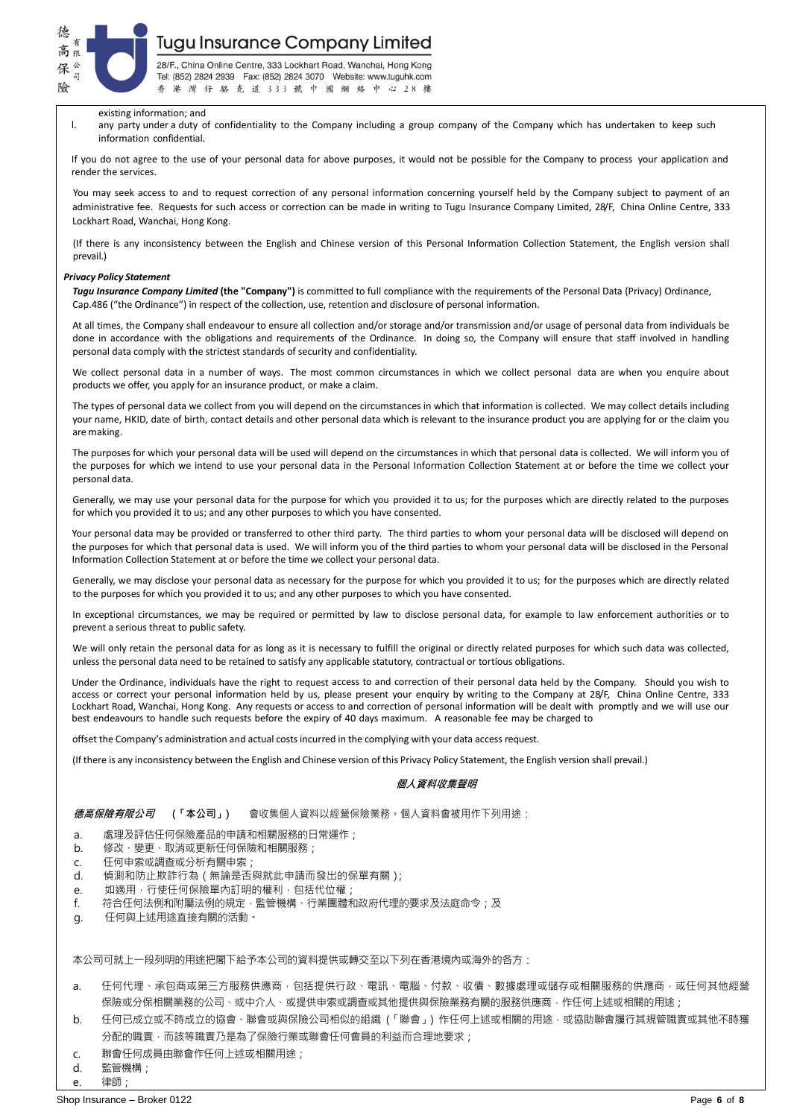

28/F., China Online Centre, 333 Lockhart Road, Wanchai, Hong Kong Tel: (852) 2824 2939 Fax: (852) 2824 3070 Website: www.tuguhk.com 港灣仔駱克道333號中國網絡中心28樓 香

#### existing information; and

l. any party under a duty of confidentiality to the Company including a group company of the Company which has undertaken to keep such information confidential.

If you do not agree to the use of your personal data for above purposes, it would not be possible for the Company to process your application and render the services.

You may seek access to and to request correction of any personal information concerning yourself held by the Company subject to payment of an administrative fee. Requests for such access or correction can be made in writing to Tugu Insurance Company Limited, 28/F, China Online Centre, 333 Lockhart Road, Wanchai, Hong Kong.

(If there is any inconsistency between the English and Chinese version of this Personal Information Collection Statement, the English version shall prevail.)

#### *Privacy Policy Statement*

*Tugu Insurance Company Limited* **(the "Company")** is committed to full compliance with the requirements of the Personal Data (Privacy) Ordinance, Cap.486 ("the Ordinance") in respect of the collection, use, retention and disclosure of personal information.

At all times, the Company shall endeavour to ensure all collection and/or storage and/or transmission and/or usage of personal data from individuals be done in accordance with the obligations and requirements of the Ordinance. In doing so, the Company will ensure that staff involved in handling personal data comply with the strictest standards of security and confidentiality.

We collect personal data in a number of ways. The most common circumstances in which we collect personal data are when you enquire about products we offer, you apply for an insurance product, or make a claim.

The types of personal data we collect from you will depend on the circumstances in which that information is collected. We may collect details including your name, HKID, date of birth, contact details and other personal data which is relevant to the insurance product you are applying for or the claim you are making.

The purposes for which your personal data will be used will depend on the circumstances in which that personal data is collected. We will inform you of the purposes for which we intend to use your personal data in the Personal Information Collection Statement at or before the time we collect your personal data.

Generally, we may use your personal data for the purpose for which you provided it to us; for the purposes which are directly related to the purposes for which you provided it to us; and any other purposes to which you have consented.

Your personal data may be provided or transferred to other third party. The third parties to whom your personal data will be disclosed will depend on the purposes for which that personal data is used. We will inform you of the third parties to whom your personal data will be disclosed in the Personal Information Collection Statement at or before the time we collect your personal data.

Generally, we may disclose your personal data as necessary for the purpose for which you provided it to us; for the purposes which are directly related to the purposes for which you provided it to us; and any other purposes to which you have consented.

In exceptional circumstances, we may be required or permitted by law to disclose personal data, for example to law enforcement authorities or to prevent a serious threat to public safety.

We will only retain the personal data for as long as it is necessary to fulfill the original or directly related purposes for which such data was collected, unless the personal data need to be retained to satisfy any applicable statutory, contractual or tortious obligations.

Under the Ordinance, individuals have the right to request access to and correction of their personal data held by the Company. Should you wish to access or correct your personal information held by us, please present your enquiry by writing to the Company at 28/F, China Online Centre, 333 Lockhart Road, Wanchai, Hong Kong. Any requests or access to and correction of personal information will be dealt with promptly and we will use our best endeavours to handle such requests before the expiry of 40 days maximum. A reasonable fee may be charged to

offset the Company's administration and actual costs incurred in the complying with your data access request.

(If there is any inconsistency between the English and Chinese version of this Privacy Policy Statement, the English version shall prevail.)

### **個人資料收集聲明**

**德高保險有限公司 (「本公司」)** 會收集個人資料以經營保險業務。個人資料會被用作下列用途:

- a. 處理及評估任何保險產品的申請和相關服務的日常運作;
- b. 修改、變更、取消或更新任何保險和相關服務;
- c. 任何申索或調查或分析有關申索;
- d. 偵測和防止欺詐行為(無論是否與就此申請而發出的保單有關);
- e. 如適用, 行使任何保險單內訂明的權利, 包括代位權;
- f. 符合任何法例和附屬法例的規定,監管機構、行業團體和政府代理的要求及法庭命令;及
- g. 任何與上述用途直接有關的活動。

本公司可就上一段列明的用途把閣下給予本公司的資料提供或轉交至以下列在香港境內或海外的各方:

- a. 任何代理、承包商或第三方服務供應商,包括提供行政、電訊、電腦、付款、收債、數據處理或儲存或相關服務的供應商,或任何其他經營 保險或分保相關業務的公司、或中介人、或提供申索或調查或其他提供與保險業務有關的服務供應商,作任何上述或相關的用途;
- b. 任何已成立或不時成立的協會、聯會或與保險公司相似的組織 (「聯會」) 作任何上述或相關的用途, 或協助聯會履行其規管職責或其他不時獲 分配的職責,而該等職責乃是為了保險行業或聯會任何會員的利益而合理地要求;
- c. 聯會任何成員由聯會作任何上述或相關用途;
- d. 監管機構;
- e. 律師;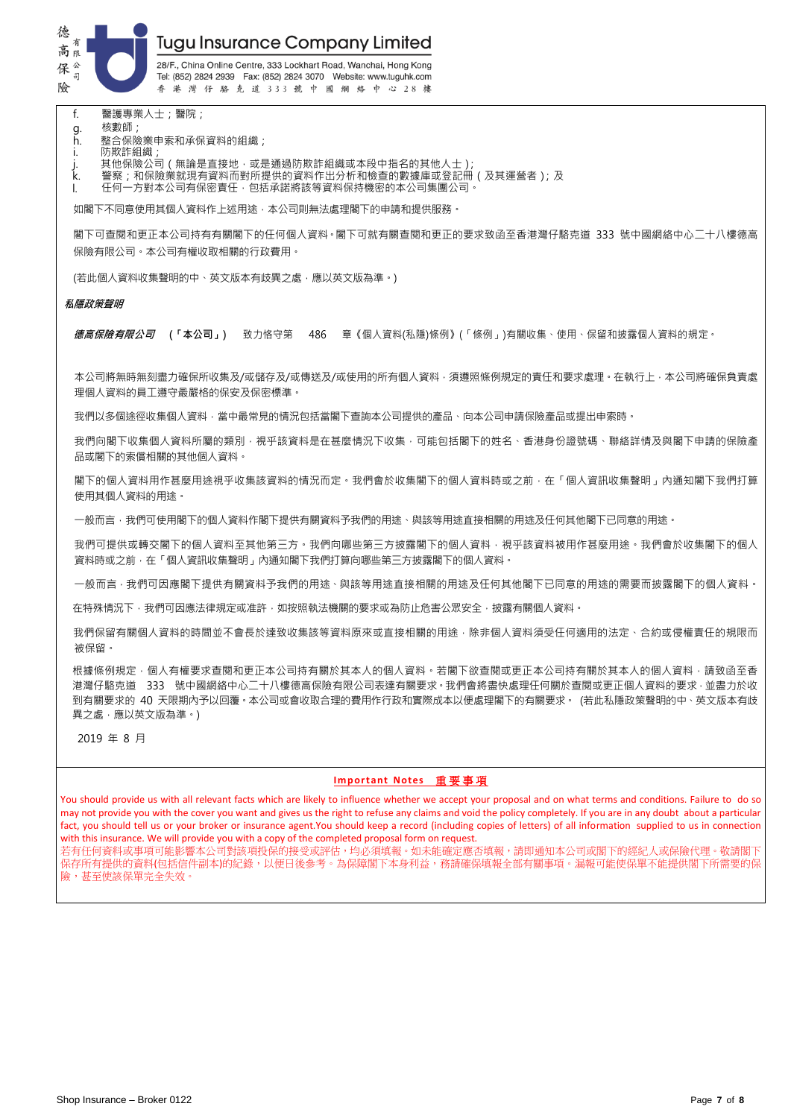

28/F., China Online Centre, 333 Lockhart Road, Wanchai, Hong Kong Tel: (852) 2824 2939 Fax: (852) 2824 3070 Website: www.tuguhk.com 香港灣仔駱克道333號中國網絡中心28樓

f. 醫護專業人士;醫院;

- g. 核數師;
- h. 整合保險業申索和承保資料的組織;
- i. 防欺詐組織;
- j. 其他保險公司(無論是直接地,或是通過防欺詐組織或本段中指名的其他人士);<br>k. 警察:和保險業就現有資料而對所提供的資料作出分析和檢查的數據庫或登記冊
- k. 警察;和保險業就現有資料而對所提供的資料作出分析和檢查的數據庫或登記冊(及其運營者);及
- l. 任何一方對本公司有保密責任,包括承諾將該等資料保持機密的本公司集團公司。

如閣下不同意使用其個人資料作上述用途,本公司則無法處理閣下的申請和提供服務。

閣下可查閱和更正本公司持有有關閣下的任何個人資料。閣下可就有關查閱和更正的要求致函至香港灣仔駱克道 333 號中國網絡中心二十八樓德高 保險有限公司。本公司有權收取相關的行政費用。

(若此個人資料收集聲明的中、英文版本有歧異之處,應以英文版為準。)

#### **私隱政策聲明**

**德高保險有限公司 (「本公司」)** 致力恪守第 486 章《個人資料(私隱)條例》(「條例」)有關收集、使用、保留和披露個人資料的規定。

本公司將無時無刻盡力確保所收集及/或儲存及/或傳送及/或使用的所有個人資料,須遵照條例規定的責任和要求處理。在執行上,本公司將確保負責處 理個人資料的員工遵守最嚴格的保安及保密標準。

我們以多個途徑收集個人資料,當中最常見的情況包括當閣下查詢本公司提供的產品、向本公司申請保險產品或提出申索時。

我們向閣下收集個人資料所屬的類別,視乎該資料是在甚麼情況下收集,可能包括閣下的姓名、香港身份證號碼、聯絡詳情及與閣下申請的保險產 品或閣下的索償相關的其他個人資料。

閣下的個人資料用作甚麼用途視乎收集該資料的情況而定。我們會於收集閣下的個人資料時或之前,在「個人資訊收集聲明」內通知閣下我們打算 使用其個人資料的用途。

一般而言,我們可使用閣下的個人資料作閣下提供有關資料予我們的用途、與該等用途直接相關的用途及任何其他閣下已同意的用途。

我們可提供或轉交閣下的個人資料至其他第三方。我們向哪些第三方披露閣下的個人資料,視乎該資料被用作甚麼用途。我們會於收集閣下的個人 資料時或之前,在「個人資訊收集聲明」內通知閣下我們打算向哪些第三方披露閣下的個人資料。

一般而言,我們可因應閣下提供有關資料予我們的用途、與該等用途直接相關的用途及任何其他閣下已同意的用途的需要而披露閣下的個人資料。

在特殊情況下,我們可因應法律規定或准許,如按照執法機關的要求或為防止危害公眾安全,披露有關個人資料。

我們保留有關個人資料的時間並不會長於達致收集該等資料原來或直接相關的用途,除非個人資料須受任何適用的法定、合約或侵權責任的規限而 被保留。

根據條例規定,個人有權要求查閱和更正本公司持有關於其本人的個人資料。若閣下欲查閱或更正本公司持有關於其本人的個人資料,請致函至香 港灣仔駱克道 333 號中國網絡中心二十八樓德高保險有限公司表達有關要求。我們會將盡快處理任何關於查閱或更正個人資料的要求,並盡力於收 到有關要求的 40 天限期內予以回覆。本公司或會收取合理的費用作行政和實際成本以便處理閣下的有關要求。 (若此私隱政策聲明的中、英文版本有歧 異之處,應以英文版為準。)

2019 年 8 月

### **Important Notes** 重 要 事 項

You should provide us with all relevant facts which are likely to influence whether we accept your proposal and on what terms and conditions. Failure to do so may not provide you with the cover you want and gives us the right to refuse any claims and void the policy completely. If you are in any doubt about a particular fact, you should tell us or your broker or insurance agent.You should keep a record (including copies of letters) of all information supplied to us in connection with this insurance. We will provide you with a copy of the completed proposal form on request.

若有任何資料或事項可能影響本公司對該項投保的接受或評估,均必須填報。如未能確定應否填報,請即通知本公司或閣下的經紀人或保險代理。敬請閣下 保存所有提供的資料(包括信件副本)的紀錄,以便日後參考。為保障閣下本身利益,務請確保填報全部有關事項。漏報可能使保單不能提供閣下所需要的保 險,甚至使該保單完全失效。